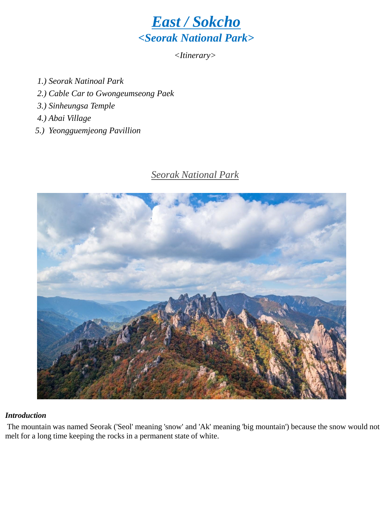

*<Itinerary>*

- *1.) Seorak Natinoal Park*
- *2.) Cable Car to Gwongeumseong Paek*
- *3.) Sinheungsa Temple*
- *4.) Abai Village*
- *5.) Yeongguemjeong Pavillion*

# *Seorak National Park*



#### *Introduction*

The mountain was named Seorak ('Seol' meaning 'snow' and 'Ak' meaning 'big mountain') because the snow would not melt for a long time keeping the rocks in a permanent state of white.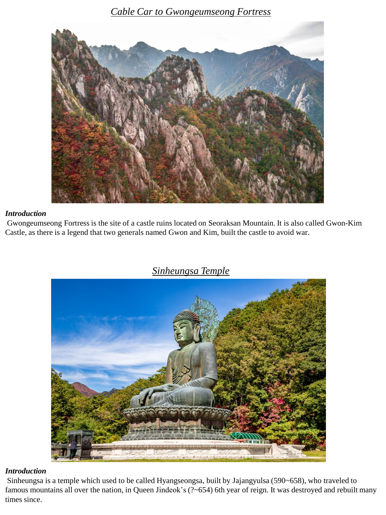*Cable Car to Gwongeumseong Fortress*



#### *Introduction*

Gwongeumseong Fortress is the site of a castle ruins located on Seoraksan Mountain. It is also called Gwon-Kim Castle, as there is a legend that two generals named Gwon and Kim, built the castle to avoid war.



### *Sinheungsa Temple*

#### *Introduction*

Sinheungsa is a temple which used to be called Hyangseongsa, built by Jajangyulsa (590~658), who traveled to famous mountains all over the nation, in Queen Jindeok's (?~654) 6th year of reign. It was destroyed and rebuilt many times since.